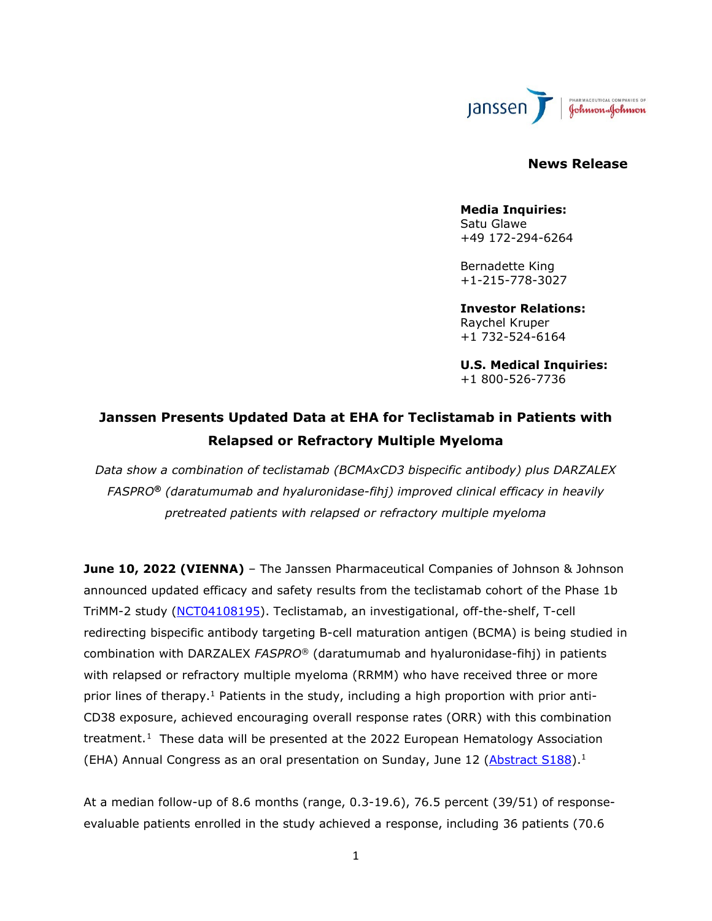

## **News Release**

#### **Media Inquiries:** Satu Glawe +49 172-294-6264

Bernadette King +1-215-778-3027

**Investor Relations:** Raychel Kruper +1 732-524-6164

**U.S. Medical Inquiries:** +1 800-526-7736

# **Janssen Presents Updated Data at EHA for Teclistamab in Patients with Relapsed or Refractory Multiple Myeloma**

*Data show a combination of teclistamab (BCMAxCD3 bispecific antibody) plus DARZALEX FASPRO® (daratumumab and hyaluronidase-fihj) improved clinical efficacy in heavily pretreated patients with relapsed or refractory multiple myeloma*

**June 10, 2022 (VIENNA)** – The Janssen Pharmaceutical Companies of Johnson & Johnson announced updated efficacy and safety results from the teclistamab cohort of the Phase 1b TriMM-2 study [\(NCT04108195\)](https://www.clinicaltrials.gov/ct2/show/NCT04108195). Teclistamab, an investigational, off-the-shelf, T-cell redirecting bispecific antibody targeting B-cell maturation antigen (BCMA) is being studied in combination with DARZALEX *FASPRO®* (daratumumab and hyaluronidase-fihj) in patients with relapsed or refractory multiple myeloma (RRMM) who have received three or more prior lines of therapy.<sup>1</sup> Patients in the study, including a high proportion with prior anti-CD38 exposure, achieved encouraging overall response rates (ORR) with this combination treatment.<sup>[1](#page-9-0)</sup> These data will be presented at the 2022 European Hematology Association (EHA) Annual Congress as an oral presentation on Sunday, June 12 ( $\Delta$ bstract S188).<sup>1</sup>

<span id="page-0-0"></span>At a median follow-up of 8.6 months (range, 0.3-19.6), 76.5 percent (39/51) of responseevaluable patients enrolled in the study achieved a response, including 36 patients (70.6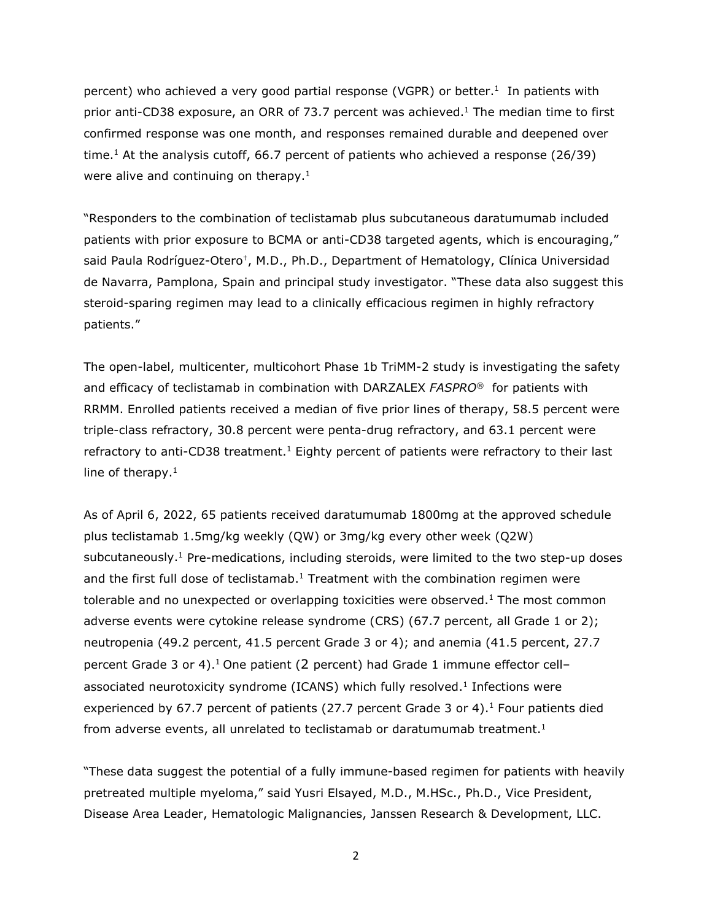percent) who achieved a very good partial response (VGPR) or better.<sup>1</sup> In patients with prior anti-CD38 exposure, an ORR of 73.7 percent was achieved.<sup>1</sup> The median time to first confirmed response was one month, and responses remained durable and deepened over time.<sup>1</sup> At the analysis cutoff, 66.7 percent of patients who achieved a response (26/39) were alive and continuing on therapy.<sup>1</sup>

"Responders to the combination of teclistamab plus subcutaneous daratumumab included patients with prior exposure to BCMA or anti-CD38 targeted agents, which is encouraging," said Paula Rodríguez-Otero†, M.D., Ph.D., Department of Hematology, Clínica Universidad de Navarra, Pamplona, Spain and principal study investigator. "These data also suggest this steroid-sparing regimen may lead to a clinically efficacious regimen in highly refractory patients."

The open-label, multicenter, multicohort Phase 1b TriMM-2 study is investigating the safety and efficacy of teclistamab in combination with DARZALEX *FASPRO®* for patients with RRMM. Enrolled patients received a median of five prior lines of therapy, 58.5 percent were triple-class refractory, 30.8 percent were penta-drug refractory, and 63.1 percent were refractory to anti-CD38 treatment.<sup>1</sup> Eighty percent of patients were refractory to their last line of therapy. $1$ 

As of April 6, 2022, 65 patients received daratumumab 1800mg at the approved schedule plus teclistamab 1.5mg/kg weekly (QW) or 3mg/kg every other week (Q2W) subcutaneously.<sup>1</sup> Pre-medications, including steroids, were limited to the two step-up doses and the first full dose of teclistamab.<sup>1</sup> Treatment with the combination regimen were tolerable and no unexpected or overlapping toxicities were observed.<sup>1</sup> The most common adverse events were cytokine release syndrome (CRS) (67.7 percent, all Grade 1 or 2); neutropenia (49.2 percent, 41.5 percent Grade 3 or 4); and anemia (41.5 percent, 27.7 percent Grade 3 or 4).<sup>1</sup> One patient (2 percent) had Grade 1 immune effector cellassociated neurotoxicity syndrome (ICANS) which fully resolved.<sup>1</sup> Infections were experienced by 67.7 percent of patients (27.7 percent Grade 3 or 4).<sup>1</sup> Four patients died from adverse events, all unrelated to teclistamab or daratumumab treatment.<sup>1</sup>

"These data suggest the potential of a fully immune-based regimen for patients with heavily pretreated multiple myeloma," said Yusri Elsayed, M.D., M.HSc., Ph.D., Vice President, Disease Area Leader, Hematologic Malignancies, Janssen Research & Development, LLC.

2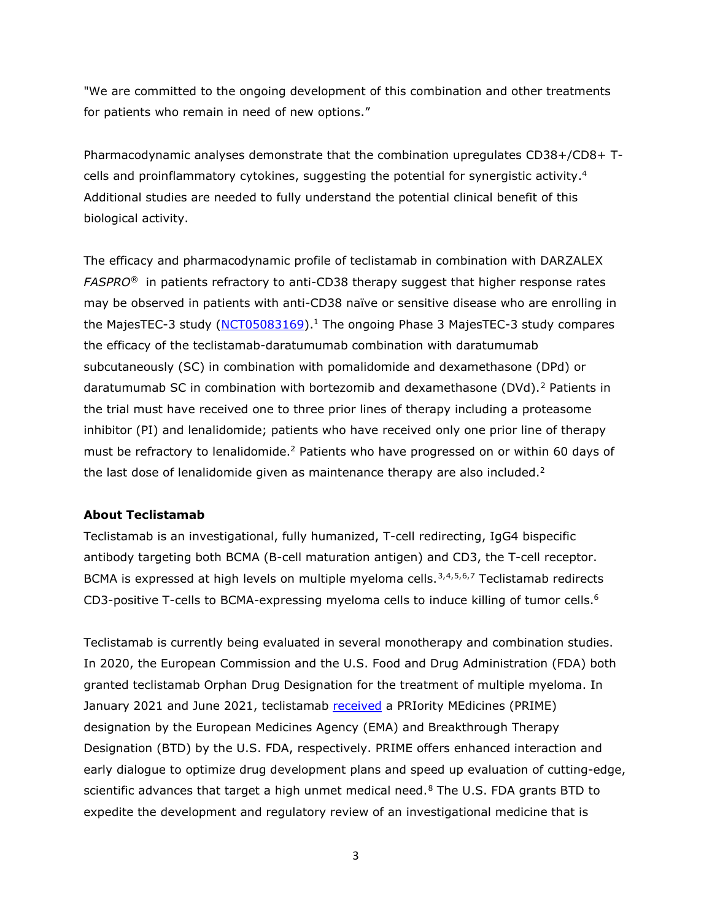"We are committed to the ongoing development of this combination and other treatments for patients who remain in need of new options."

Pharmacodynamic analyses demonstrate that the combination upregulates CD38+/CD8+ Tcells and proinflammatory cytokines, suggesting the potential for synergistic activity[.4](#page-2-0) Additional studies are needed to fully understand the potential clinical benefit of this biological activity.

<span id="page-2-1"></span>The efficacy and pharmacodynamic profile of teclistamab in combination with DARZALEX *FASPRO®* in patients refractory to anti-CD38 therapy suggest that higher response rates may be observed in patients with anti-CD38 naïve or sensitive disease who are enrolling in the MajesTEC-3 study [\(NCT05083169\)](https://clinicaltrials.gov/ct2/show/NCT05083169).<sup>1</sup> The ongoing Phase 3 MajesTEC-3 study compares the efficacy of the teclistamab-daratumumab combination with daratumumab subcutaneously (SC) in combination with pomalidomide and dexamethasone (DPd) or daratumumab SC in combination with bortezomib and dexamethasone (DVd).<sup>[2](#page-9-1)</sup> Patients in the trial must have received one to three prior lines of therapy including a proteasome inhibitor (PI) and lenalidomide; patients who have received only one prior line of therapy must be refractory to lenalidomide.<sup>2</sup> Patients who have progressed on or within 60 days of the last dose of lenalidomide given as maintenance therapy are also included.<sup>2</sup>

#### **About Teclistamab**

<span id="page-2-0"></span>Teclistamab is an investigational, fully humanized, T-cell redirecting, IgG4 bispecific antibody targeting both BCMA (B-cell maturation antigen) and CD3, the T-cell receptor. BCMA is expressed at high levels on multiple myeloma cells.<sup>[3,](#page-9-2)[4,](#page-9-3)[5,](#page-9-4)[6,](#page-9-5)[7](#page-9-6)</sup> Teclistamab redirects CD3-positive T-cells to BCMA-expressing myeloma cells to induce killing of tumor cells.<sup>6</sup>

Teclistamab is currently being evaluated in several monotherapy and combination studies. In 2020, the European Commission and the U.S. Food and Drug Administration (FDA) both granted teclistamab Orphan Drug Designation for the treatment of multiple myeloma. In January 2021 and June 2021, teclistamab [received](https://www.janssen.com/us/sites/www_janssen_com_usa/files/janssen_announces_u.s._fda_breakthrough_therapy_designation_granted_for_teclistamab_for_the_treatment_of_relapsed_or_refractory_multiple_myeloma.pdf) a PRIority MEdicines (PRIME) designation by the European Medicines Agency (EMA) and Breakthrough Therapy Designation (BTD) by the U.S. FDA, respectively. PRIME offers enhanced interaction and early dialogue to optimize drug development plans and speed up evaluation of cutting-edge, scientific advances that target a high unmet medical need.<sup>[8](#page-9-7)</sup> The U.S. FDA grants BTD to expedite the development and regulatory review of an investigational medicine that is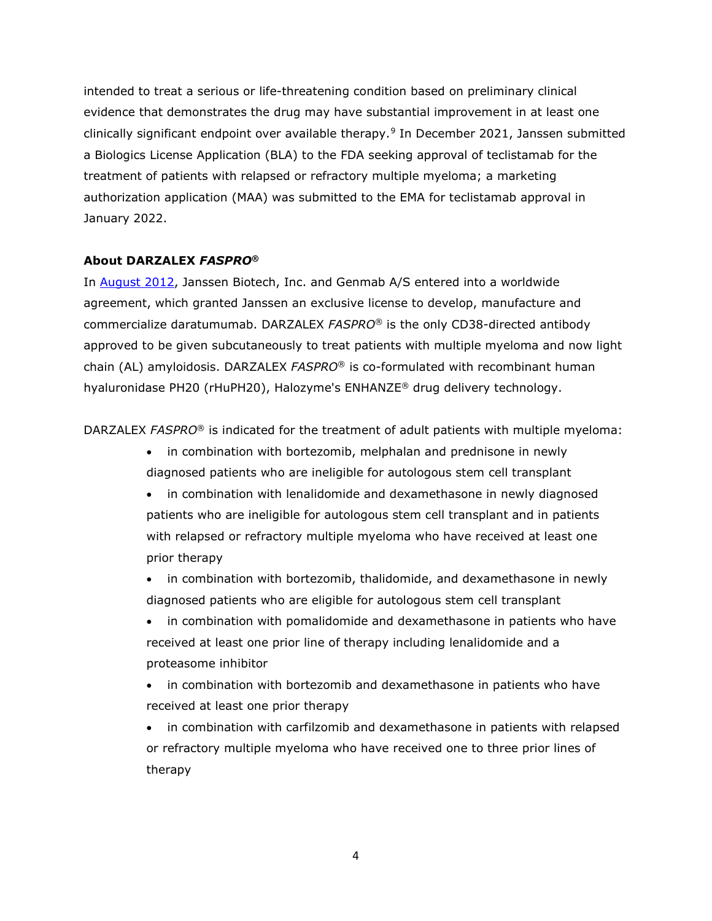intended to treat a serious or life-threatening condition based on preliminary clinical evidence that demonstrates the drug may have substantial improvement in at least one clinically significant endpoint over available therapy.[9](#page-9-8) In December 2021, Janssen submitted a Biologics License Application (BLA) to the FDA seeking approval of teclistamab for the treatment of patients with relapsed or refractory multiple myeloma; a marketing authorization application (MAA) was submitted to the EMA for teclistamab approval in January 2022.

#### **About DARZALEX** *FASPRO***®**

In [August 2012,](https://www.jnj.com/media-center/press-releases/janssen-biotech-announces-global-license-and-development-agreement-for-investigational-anti-cancer-agent-daratumumab) Janssen Biotech, Inc. and Genmab A/S entered into a worldwide agreement, which granted Janssen an exclusive license to develop, manufacture and commercialize daratumumab. DARZALEX *FASPRO*® is the only CD38-directed antibody approved to be given subcutaneously to treat patients with multiple myeloma and now light chain (AL) amyloidosis. DARZALEX *FASPRO*® is co-formulated with recombinant human hyaluronidase PH20 (rHuPH20), Halozyme's ENHANZE® drug delivery technology.

DARZALEX *FASPRO*® is indicated for the treatment of adult patients with multiple myeloma:

- in combination with bortezomib, melphalan and prednisone in newly diagnosed patients who are ineligible for autologous stem cell transplant
- in combination with lenalidomide and dexamethasone in newly diagnosed patients who are ineligible for autologous stem cell transplant and in patients with relapsed or refractory multiple myeloma who have received at least one prior therapy
- in combination with bortezomib, thalidomide, and dexamethasone in newly diagnosed patients who are eligible for autologous stem cell transplant
- in combination with pomalidomide and dexamethasone in patients who have received at least one prior line of therapy including lenalidomide and a proteasome inhibitor
- in combination with bortezomib and dexamethasone in patients who have received at least one prior therapy
- in combination with carfilzomib and dexamethasone in patients with relapsed or refractory multiple myeloma who have received one to three prior lines of therapy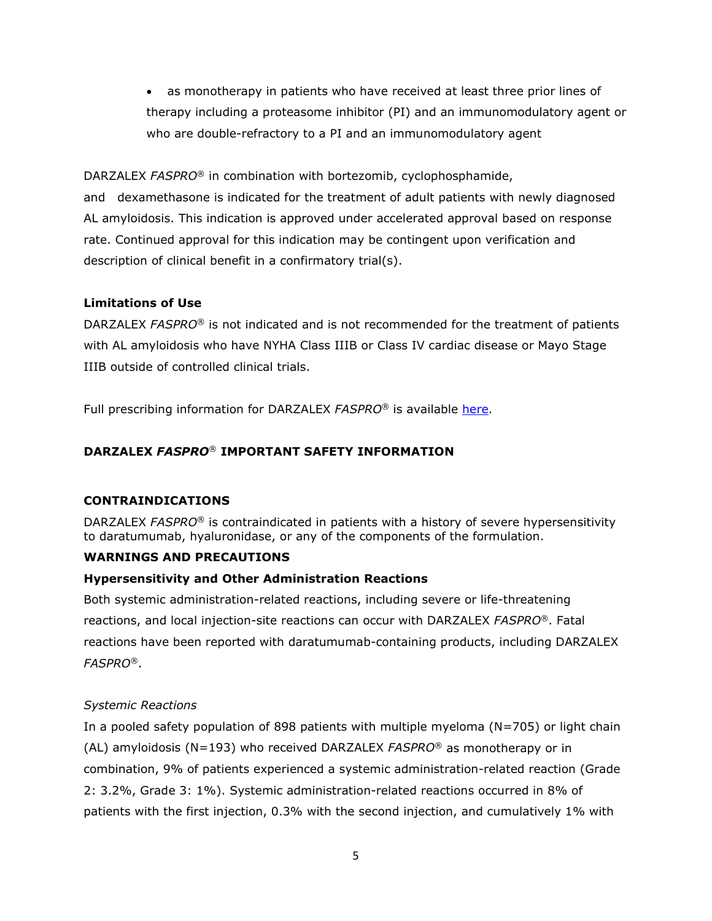• as monotherapy in patients who have received at least three prior lines of therapy including a proteasome inhibitor (PI) and an immunomodulatory agent or who are double-refractory to a PI and an immunomodulatory agent

DARZALEX *FASPRO*® in combination with bortezomib, cyclophosphamide,

and dexamethasone is indicated for the treatment of adult patients with newly diagnosed AL amyloidosis. This indication is approved under accelerated approval based on response rate. Continued approval for this indication may be contingent upon verification and description of clinical benefit in a confirmatory trial(s).

## **Limitations of Use**

DARZALEX *FASPRO*® is not indicated and is not recommended for the treatment of patients with AL amyloidosis who have NYHA Class IIIB or Class IV cardiac disease or Mayo Stage IIIB outside of controlled clinical trials.

Full prescribing information for DARZALEX *FASPRO*® is available [here.](https://www.janssenlabels.com/package-insert/product-monograph/prescribing-information/DARZALEX+Faspro-pi.pdf)

## **DARZALEX** *FASPRO*® **IMPORTANT SAFETY INFORMATION**

## **CONTRAINDICATIONS**

DARZALEX *FASPRO*® is contraindicated in patients with a history of severe hypersensitivity to daratumumab, hyaluronidase, or any of the components of the formulation.

## **WARNINGS AND PRECAUTIONS**

## **Hypersensitivity and Other Administration Reactions**

Both systemic administration-related reactions, including severe or life-threatening reactions, and local injection-site reactions can occur with DARZALEX *FASPRO*®. Fatal reactions have been reported with daratumumab-containing products, including DARZALEX *FASPRO*®.

## *Systemic Reactions*

In a pooled safety population of 898 patients with multiple myeloma (N=705) or light chain (AL) amyloidosis (N=193) who received DARZALEX *FASPRO*® as monotherapy or in combination, 9% of patients experienced a systemic administration-related reaction (Grade 2: 3.2%, Grade 3: 1%). Systemic administration-related reactions occurred in 8% of patients with the first injection, 0.3% with the second injection, and cumulatively 1% with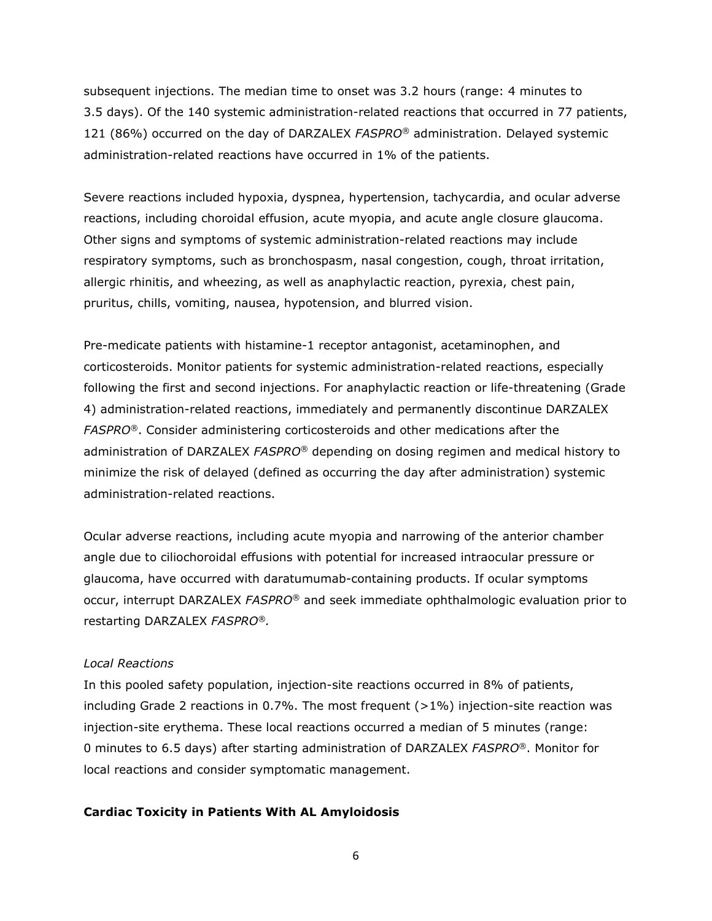subsequent injections. The median time to onset was 3.2 hours (range: 4 minutes to 3.5 days). Of the 140 systemic administration-related reactions that occurred in 77 patients, 121 (86%) occurred on the day of DARZALEX *FASPRO*® administration. Delayed systemic administration-related reactions have occurred in 1% of the patients.

Severe reactions included hypoxia, dyspnea, hypertension, tachycardia, and ocular adverse reactions, including choroidal effusion, acute myopia, and acute angle closure glaucoma. Other signs and symptoms of systemic administration-related reactions may include respiratory symptoms, such as bronchospasm, nasal congestion, cough, throat irritation, allergic rhinitis, and wheezing, as well as anaphylactic reaction, pyrexia, chest pain, pruritus, chills, vomiting, nausea, hypotension, and blurred vision.

Pre-medicate patients with histamine-1 receptor antagonist, acetaminophen, and corticosteroids. Monitor patients for systemic administration-related reactions, especially following the first and second injections. For anaphylactic reaction or life-threatening (Grade 4) administration-related reactions, immediately and permanently discontinue DARZALEX *FASPRO*®. Consider administering corticosteroids and other medications after the administration of DARZALEX *FASPRO*® depending on dosing regimen and medical history to minimize the risk of delayed (defined as occurring the day after administration) systemic administration-related reactions.

Ocular adverse reactions, including acute myopia and narrowing of the anterior chamber angle due to ciliochoroidal effusions with potential for increased intraocular pressure or glaucoma, have occurred with daratumumab-containing products. If ocular symptoms occur, interrupt DARZALEX *FASPRO®* and seek immediate ophthalmologic evaluation prior to restarting DARZALEX *FASPRO®.*

### *Local Reactions*

In this pooled safety population, injection-site reactions occurred in 8% of patients, including Grade 2 reactions in 0.7%. The most frequent  $(>1%)$  injection-site reaction was injection-site erythema. These local reactions occurred a median of 5 minutes (range: 0 minutes to 6.5 days) after starting administration of DARZALEX *FASPRO*®. Monitor for local reactions and consider symptomatic management.

## **Cardiac Toxicity in Patients With AL Amyloidosis**

6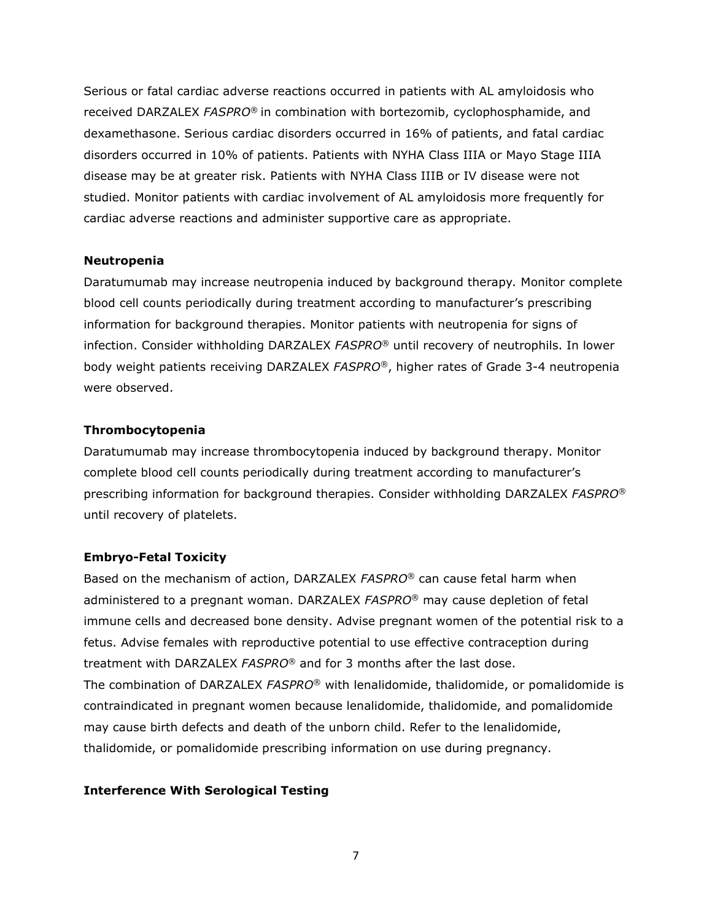Serious or fatal cardiac adverse reactions occurred in patients with AL amyloidosis who received DARZALEX *FASPRO*® in combination with bortezomib, cyclophosphamide, and dexamethasone. Serious cardiac disorders occurred in 16% of patients, and fatal cardiac disorders occurred in 10% of patients. Patients with NYHA Class IIIA or Mayo Stage IIIA disease may be at greater risk. Patients with NYHA Class IIIB or IV disease were not studied. Monitor patients with cardiac involvement of AL amyloidosis more frequently for cardiac adverse reactions and administer supportive care as appropriate.

#### **Neutropenia**

Daratumumab may increase neutropenia induced by background therapy*.* Monitor complete blood cell counts periodically during treatment according to manufacturer's prescribing information for background therapies. Monitor patients with neutropenia for signs of infection. Consider withholding DARZALEX *FASPRO*® until recovery of neutrophils. In lower body weight patients receiving DARZALEX *FASPRO*®, higher rates of Grade 3-4 neutropenia were observed.

#### **Thrombocytopenia**

Daratumumab may increase thrombocytopenia induced by background therapy. Monitor complete blood cell counts periodically during treatment according to manufacturer's prescribing information for background therapies. Consider withholding DARZALEX *FASPRO*® until recovery of platelets.

#### **Embryo-Fetal Toxicity**

Based on the mechanism of action, DARZALEX *FASPRO*® can cause fetal harm when administered to a pregnant woman. DARZALEX *FASPRO*® may cause depletion of fetal immune cells and decreased bone density. Advise pregnant women of the potential risk to a fetus. Advise females with reproductive potential to use effective contraception during treatment with DARZALEX *FASPRO*® and for 3 months after the last dose. The combination of DARZALEX *FASPRO*® with lenalidomide, thalidomide, or pomalidomide is contraindicated in pregnant women because lenalidomide, thalidomide, and pomalidomide may cause birth defects and death of the unborn child. Refer to the lenalidomide, thalidomide, or pomalidomide prescribing information on use during pregnancy.

#### **Interference With Serological Testing**

7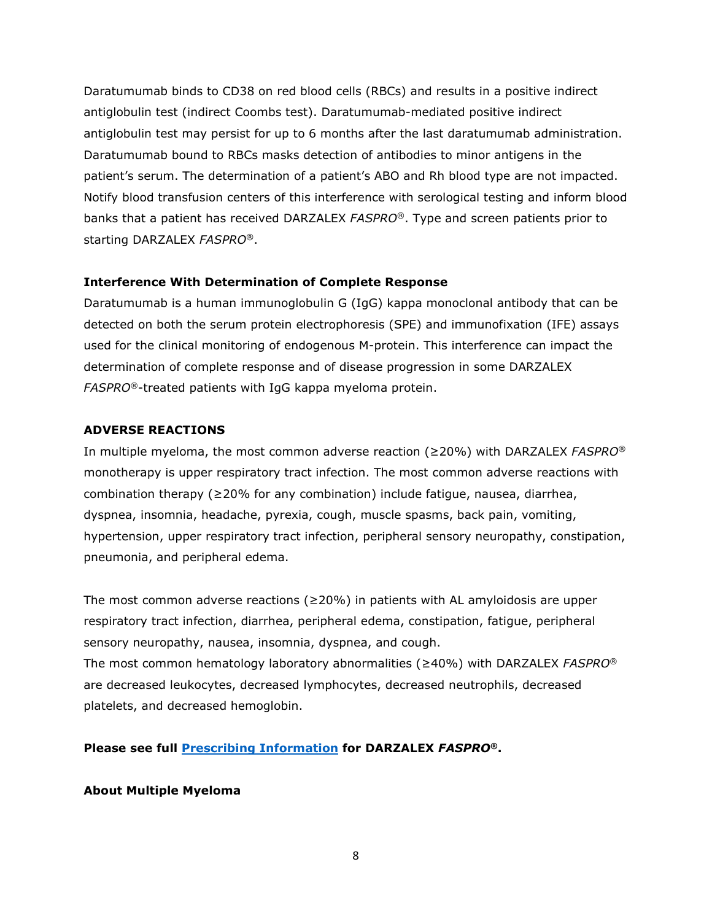Daratumumab binds to CD38 on red blood cells (RBCs) and results in a positive indirect antiglobulin test (indirect Coombs test). Daratumumab-mediated positive indirect antiglobulin test may persist for up to 6 months after the last daratumumab administration. Daratumumab bound to RBCs masks detection of antibodies to minor antigens in the patient's serum. The determination of a patient's ABO and Rh blood type are not impacted. Notify blood transfusion centers of this interference with serological testing and inform blood banks that a patient has received DARZALEX *FASPRO*®. Type and screen patients prior to starting DARZALEX *FASPRO*®.

## **Interference With Determination of Complete Response**

Daratumumab is a human immunoglobulin G (IgG) kappa monoclonal antibody that can be detected on both the serum protein electrophoresis (SPE) and immunofixation (IFE) assays used for the clinical monitoring of endogenous M-protein. This interference can impact the determination of complete response and of disease progression in some DARZALEX *FASPRO*®-treated patients with IgG kappa myeloma protein.

## **ADVERSE REACTIONS**

In multiple myeloma, the most common adverse reaction (≥20%) with DARZALEX *FASPRO*® monotherapy is upper respiratory tract infection. The most common adverse reactions with combination therapy (≥20% for any combination) include fatigue, nausea, diarrhea, dyspnea, insomnia, headache, pyrexia, cough, muscle spasms, back pain, vomiting, hypertension, upper respiratory tract infection, peripheral sensory neuropathy, constipation, pneumonia, and peripheral edema.

The most common adverse reactions ( $\geq$ 20%) in patients with AL amyloidosis are upper respiratory tract infection, diarrhea, peripheral edema, constipation, fatigue, peripheral sensory neuropathy, nausea, insomnia, dyspnea, and cough. The most common hematology laboratory abnormalities (≥40%) with DARZALEX *FASPRO*®

are decreased leukocytes, decreased lymphocytes, decreased neutrophils, decreased platelets, and decreased hemoglobin.

**Please see full [Prescribing Information](https://www.janssenlabels.com/package-insert/product-monograph/prescribing-information/DARZALEX+Faspro-pi.pdf) for DARZALEX** *FASPRO***®.**

## **About Multiple Myeloma**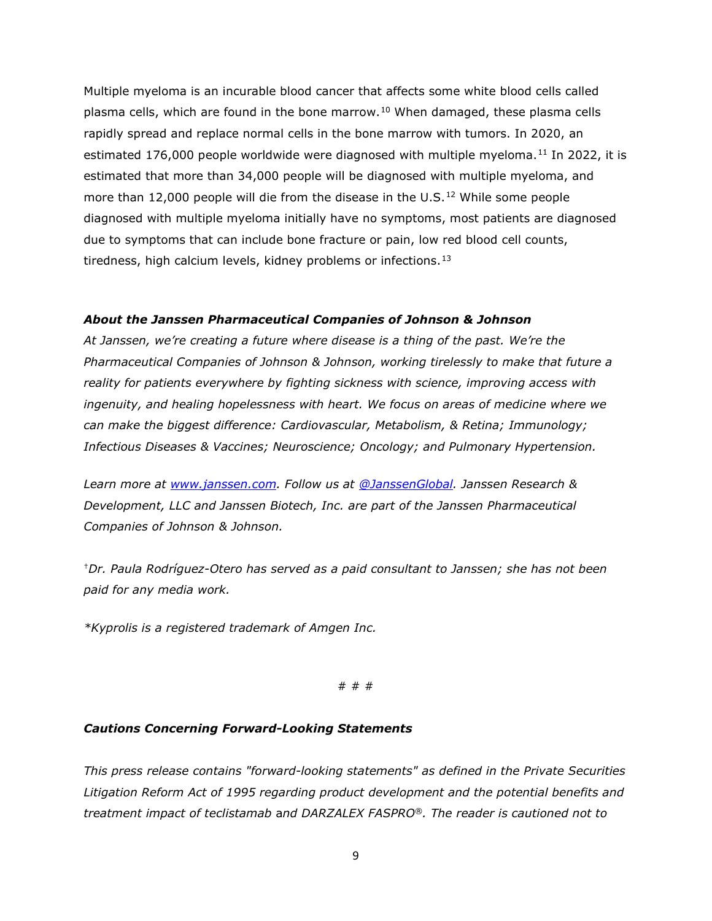Multiple myeloma is an incurable blood cancer that affects some white blood cells called plasma cells, which are found in the bone marrow.<sup>[10](#page-9-9)</sup> When damaged, these plasma cells rapidly spread and replace normal cells in the bone marrow with tumors. In 2020, an estimated 176,000 people worldwide were diagnosed with multiple myeloma.<sup>[11](#page-10-0)</sup> In 2022, it is estimated that more than 34,000 people will be diagnosed with multiple myeloma, and more than [12](#page-10-1),000 people will die from the disease in the U.S.<sup>12</sup> While some people diagnosed with multiple myeloma initially have no symptoms, most patients are diagnosed due to symptoms that can include bone fracture or pain, low red blood cell counts, tiredness, high calcium levels, kidney problems or infections.  $13$ 

### *About the Janssen Pharmaceutical Companies of Johnson & Johnson*

*At Janssen, we're creating a future where disease is a thing of the past. We're the Pharmaceutical Companies of Johnson & Johnson, working tirelessly to make that future a reality for patients everywhere by fighting sickness with science, improving access with ingenuity, and healing hopelessness with heart. We focus on areas of medicine where we can make the biggest difference: Cardiovascular, Metabolism, & Retina; Immunology; Infectious Diseases & Vaccines; Neuroscience; Oncology; and Pulmonary Hypertension.*

*Learn more at [www.janssen.com.](https://www.janssen.com/) Follow us at [@JanssenGlobal.](https://twitter.com/JanssenGlobal) Janssen Research & Development, LLC and Janssen Biotech, Inc. are part of the Janssen Pharmaceutical Companies of Johnson & Johnson.*

†*Dr. Paula Rodríguez-Otero has served as a paid consultant to Janssen; she has not been paid for any media work.*

*\*Kyprolis is a registered trademark of Amgen Inc.*

# # #

#### *Cautions Concerning Forward-Looking Statements*

*This press release contains "forward-looking statements" as defined in the Private Securities Litigation Reform Act of 1995 regarding product development and the potential benefits and treatment impact of teclistamab* a*nd DARZALEX FASPRO®. The reader is cautioned not to*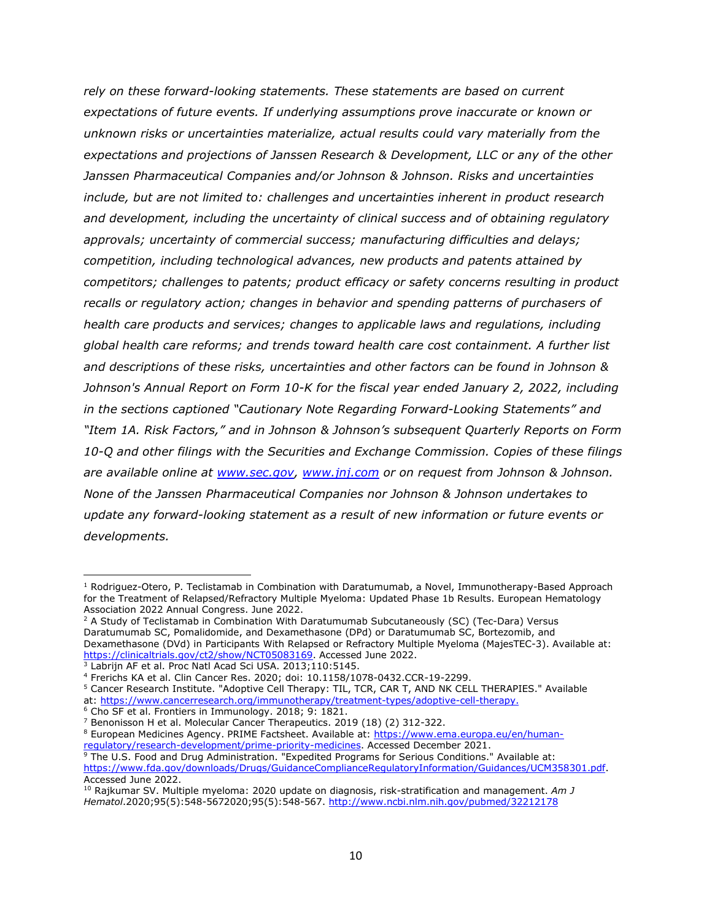*rely on these forward-looking statements. These statements are based on current expectations of future events. If underlying assumptions prove inaccurate or known or unknown risks or uncertainties materialize, actual results could vary materially from the expectations and projections of Janssen Research & Development, LLC or any of the other Janssen Pharmaceutical Companies and/or Johnson & Johnson. Risks and uncertainties include, but are not limited to: challenges and uncertainties inherent in product research and development, including the uncertainty of clinical success and of obtaining regulatory approvals; uncertainty of commercial success; manufacturing difficulties and delays; competition, including technological advances, new products and patents attained by competitors; challenges to patents; product efficacy or safety concerns resulting in product recalls or regulatory action; changes in behavior and spending patterns of purchasers of health care products and services; changes to applicable laws and regulations, including global health care reforms; and trends toward health care cost containment. A further list and descriptions of these risks, uncertainties and other factors can be found in Johnson & Johnson's Annual Report on Form 10-K for the fiscal year ended January 2, 2022, including in the sections captioned "Cautionary Note Regarding Forward-Looking Statements" and "Item 1A. Risk Factors," and in Johnson & Johnson's subsequent Quarterly Reports on Form 10-Q and other filings with the Securities and Exchange Commission. Copies of these filings are available online at [www.sec.gov,](http://www.sec.gov/) [www.jnj.com](http://www.jnj.com/) or on request from Johnson & Johnson. None of the Janssen Pharmaceutical Companies nor Johnson & Johnson undertakes to update any forward-looking statement as a result of new information or future events or developments.*

<span id="page-9-1"></span><sup>2</sup> A Study of Teclistamab in Combination With Daratumumab Subcutaneously (SC) (Tec-Dara) Versus Daratumumab SC, Pomalidomide, and Dexamethasone (DPd) or Daratumumab SC, Bortezomib, and Dexamethasone (DVd) in Participants With Relapsed or Refractory Multiple Myeloma (MajesTEC-3). Available at: [https://clinicaltrials.gov/ct2/show/NCT05083169.](https://clinicaltrials.gov/ct2/show/NCT05083169) Accessed June 2022. 3 Labrijn AF et al. Proc Natl Acad Sci USA. 2013;110:5145.

<span id="page-9-0"></span> $1$  Rodriguez-Otero, P. Teclistamab in Combination with Daratumumab, a Novel, Immunotherapy-Based Approach for the Treatment of Relapsed/Refractory Multiple Myeloma: Updated Phase 1b Results. European Hematology Association 2022 Annual Congress. June 2022.

<span id="page-9-3"></span><span id="page-9-2"></span><sup>4</sup> Frerichs KA et al. Clin Cancer Res. 2020; doi: 10.1158/1078-0432.CCR-19-2299.

<span id="page-9-4"></span><sup>5</sup> Cancer Research Institute. "Adoptive Cell Therapy: TIL, TCR, CAR T, AND NK CELL THERAPIES." Available at: [https://www.cancerresearch.org/immunotherapy/treatment-types/adoptive-cell-therapy.](https://www.cancerresearch.org/immunotherapy/treatment-types/adoptive-cell-therapy)

<span id="page-9-5"></span><sup>6</sup> Cho SF et al. Frontiers in Immunology. 2018; 9: 1821.

<sup>&</sup>lt;sup>7</sup> Benonisson H et al. Molecular Cancer Therapeutics. 2019 (18) (2) 312-322.

<span id="page-9-7"></span><span id="page-9-6"></span><sup>&</sup>lt;sup>8</sup> European Medicines Agency. PRIME Factsheet. Available at: [https://www.ema.europa.eu/en/human](https://www.ema.europa.eu/en/human-regulatory/research-development/prime-priority-medicines)[regulatory/research-development/prime-priority-medicines.](https://www.ema.europa.eu/en/human-regulatory/research-development/prime-priority-medicines) Accessed December 2021.

<span id="page-9-8"></span><sup>&</sup>lt;sup>9</sup> The U.S. Food and Drug Administration. "Expedited Programs for Serious Conditions." Available at: [https://www.fda.gov/downloads/Drugs/GuidanceComplianceRegulatoryInformation/Guidances/UCM358301.pdf.](https://www.fda.gov/downloads/Drugs/GuidanceComplianceRegulatoryInformation/Guidances/UCM358301.pdf) Accessed June 2022.

<span id="page-9-9"></span><sup>10</sup> Rajkumar SV. Multiple myeloma: 2020 update on diagnosis, risk-stratification and management. *Am J Hematol*.2020;95(5):548-5672020;95(5):548-567.<http://www.ncbi.nlm.nih.gov/pubmed/32212178>